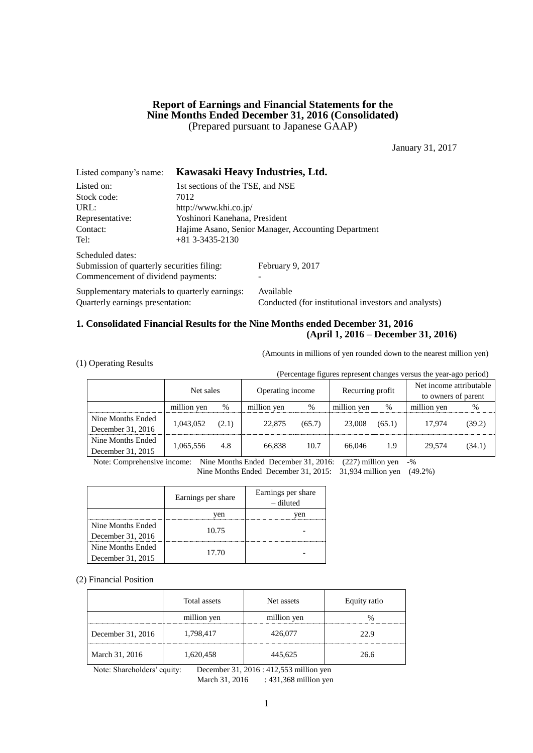# **Report of Earnings and Financial Statements for the Nine Months Ended December 31, 2016 (Consolidated)** (Prepared pursuant to Japanese GAAP)

January 31, 2017

| Listed company's name:                         |                                  | Kawasaki Heavy Industries, Ltd.                      |  |  |
|------------------------------------------------|----------------------------------|------------------------------------------------------|--|--|
| Listed on:                                     | 1st sections of the TSE, and NSE |                                                      |  |  |
| Stock code:                                    | 7012                             |                                                      |  |  |
| URL:                                           | http://www.khi.co.jp/            |                                                      |  |  |
| Representative:                                | Yoshinori Kanehana, President    |                                                      |  |  |
| Contact:                                       |                                  | Hajime Asano, Senior Manager, Accounting Department  |  |  |
| Tel:                                           | $+813--3435-2130$                |                                                      |  |  |
| Scheduled dates:                               |                                  |                                                      |  |  |
| Submission of quarterly securities filing:     |                                  | February 9, 2017                                     |  |  |
| Commencement of dividend payments:             |                                  |                                                      |  |  |
| Supplementary materials to quarterly earnings: |                                  | Available                                            |  |  |
| Quarterly earnings presentation:               |                                  | Conducted (for institutional investors and analysts) |  |  |

# **1. Consolidated Financial Results for the Nine Months ended December 31, 2016 (April 1, 2016 – December 31, 2016)**

(Amounts in millions of yen rounded down to the nearest million yen)

|  |  | (1) Operating Results |  |
|--|--|-----------------------|--|
|--|--|-----------------------|--|

(Percentage figures represent changes versus the year-ago period)

|                   | Net sales   |       | Operating income |        | Recurring profit |        | Net income attributable<br>to owners of parent |        |
|-------------------|-------------|-------|------------------|--------|------------------|--------|------------------------------------------------|--------|
|                   | million yen | $\%$  | million yen      | $\%$   | million yen      | $\%$   | million yen                                    | $\%$   |
| Nine Months Ended | 1,043,052   | (2.1) | 22,875           | (65.7) | 23,008           | (65.1) | 17.974                                         | (39.2) |
| December 31, 2016 |             |       |                  |        |                  |        |                                                |        |
| Nine Months Ended | 1,065,556   | 4.8   | 66.838           | 10.7   | 66,046           | 1.9    | 29,574                                         | (34.1) |
| December 31, 2015 |             |       |                  |        |                  |        |                                                |        |

Note: Comprehensive income: Nine Months Ended December 31, 2016: (227) million yen -%

Nine Months Ended December 31, 2015: 31,934 million yen (49.2%)

|                   | Earnings per share | Earnings per share<br>– diluted |
|-------------------|--------------------|---------------------------------|
|                   | ven                | /en                             |
| Nine Months Ended |                    |                                 |
| December 31, 2016 | 10.75              |                                 |
| Nine Months Ended |                    |                                 |
| December 31, 2015 | 17.70              |                                 |

(2) Financial Position

|                   | Total assets | Net assets  | Equity ratio |
|-------------------|--------------|-------------|--------------|
|                   | million yen  | million yen |              |
| December 31, 2016 | 1,798,417    | 426,077     | 22.9         |
| March 31, 2016    | 1,620,458    | 445,625     | 26.6         |

Note: Shareholders' equity: December 31, 2016 : 412,553 million yen

March 31, 2016 : 431,368 million yen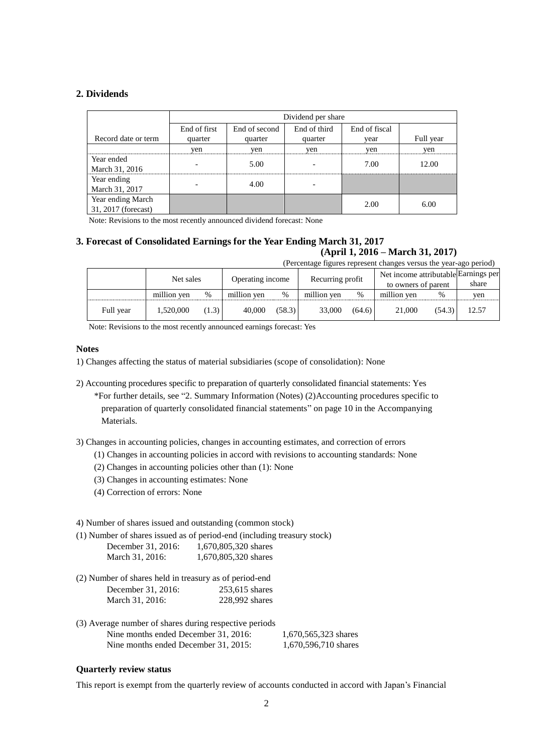# **2. Dividends**

|                     | Dividend per share |               |              |               |           |  |  |  |  |
|---------------------|--------------------|---------------|--------------|---------------|-----------|--|--|--|--|
|                     | End of first       | End of second | End of third | End of fiscal |           |  |  |  |  |
| Record date or term | quarter            | quarter       | quarter      | vear          | Full year |  |  |  |  |
|                     | yen                | yen           | yen          | yen           | yen       |  |  |  |  |
| Year ended          |                    | 5.00          |              | 7.00          | 12.00     |  |  |  |  |
| March 31, 2016      |                    |               |              |               |           |  |  |  |  |
| Year ending         |                    | 4.00          |              |               |           |  |  |  |  |
| March 31, 2017      |                    |               |              |               |           |  |  |  |  |
| Year ending March   |                    |               |              | 2.00          | 6.00      |  |  |  |  |
| 31, 2017 (forecast) |                    |               |              |               |           |  |  |  |  |

Note: Revisions to the most recently announced dividend forecast: None

# **3. Forecast of Consolidated Earnings for the Year Ending March 31, 2017**

# **(April 1, 2016 – March 31, 2017)**

| (Percentage figures represent changes versus the year-ago period) |             |       |                  |        |                  |        |                                      |        |       |
|-------------------------------------------------------------------|-------------|-------|------------------|--------|------------------|--------|--------------------------------------|--------|-------|
| Net sales                                                         |             |       | Operating income |        | Recurring profit |        | Net income attributable Earnings per |        |       |
|                                                                   |             |       |                  |        |                  |        | to owners of parent                  |        | share |
|                                                                   | million yen | %     | million yen      | $\%$   | million yen      | $\%$   | million yen                          | %      | yen   |
| Full year                                                         | 1,520,000   | (1.3) | 40,000           | (58.3) | 33,000           | (64.6) | 21,000                               | (54.3) | 12.57 |

Note: Revisions to the most recently announced earnings forecast: Yes

## **Notes**

- 1) Changes affecting the status of material subsidiaries (scope of consolidation): None
- 2) Accounting procedures specific to preparation of quarterly consolidated financial statements: Yes

\*For further details, see "2. Summary Information (Notes) (2)Accounting procedures specific to preparation of quarterly consolidated financial statements" on page 10 in the Accompanying Materials.

3) Changes in accounting policies, changes in accounting estimates, and correction of errors

- (1) Changes in accounting policies in accord with revisions to accounting standards: None
- (2) Changes in accounting policies other than (1): None
- (3) Changes in accounting estimates: None
- (4) Correction of errors: None

4) Number of shares issued and outstanding (common stock)

(1) Number of shares issued as of period-end (including treasury stock)

| December 31, 2016: | 1,670,805,320 shares |
|--------------------|----------------------|
| March 31, 2016:    | 1,670,805,320 shares |

- (2) Number of shares held in treasury as of period-end December 31, 2016: 253,615 shares March 31, 2016: 228,992 shares
- (3) Average number of shares during respective periods Nine months ended December 31, 2016: 1,670,565,323 shares Nine months ended December 31, 2015: 1,670,596,710 shares

# **Quarterly review status**

This report is exempt from the quarterly review of accounts conducted in accord with Japan's Financial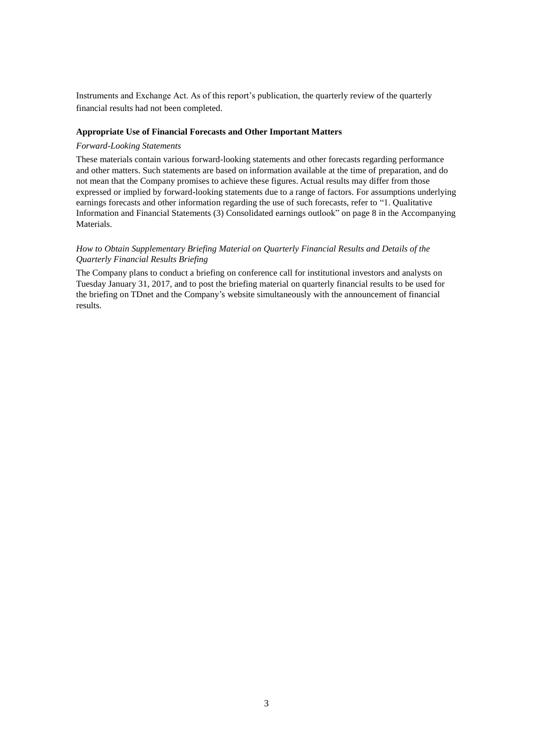Instruments and Exchange Act. As of this report's publication, the quarterly review of the quarterly financial results had not been completed.

# **Appropriate Use of Financial Forecasts and Other Important Matters**

#### *Forward-Looking Statements*

These materials contain various forward-looking statements and other forecasts regarding performance and other matters. Such statements are based on information available at the time of preparation, and do not mean that the Company promises to achieve these figures. Actual results may differ from those expressed or implied by forward-looking statements due to a range of factors. For assumptions underlying earnings forecasts and other information regarding the use of such forecasts, refer to "1. Qualitative Information and Financial Statements (3) Consolidated earnings outlook" on page 8 in the Accompanying Materials.

# *How to Obtain Supplementary Briefing Material on Quarterly Financial Results and Details of the Quarterly Financial Results Briefing*

The Company plans to conduct a briefing on conference call for institutional investors and analysts on Tuesday January 31, 2017, and to post the briefing material on quarterly financial results to be used for the briefing on TDnet and the Company's website simultaneously with the announcement of financial results.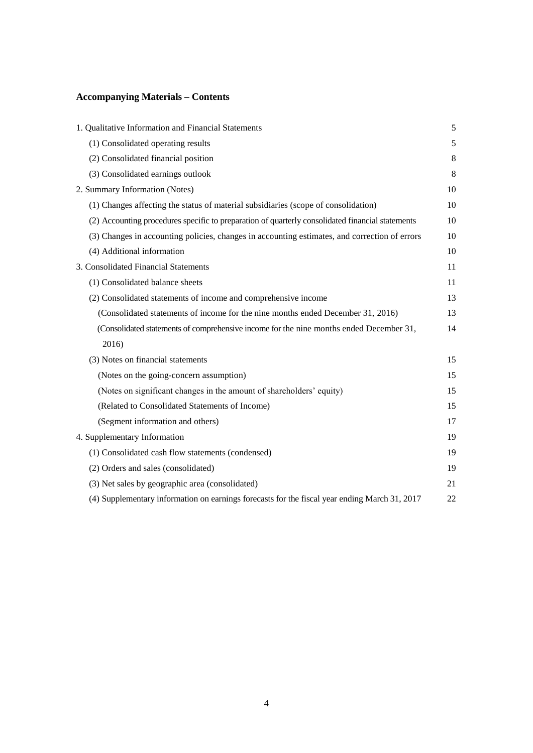# **Accompanying Materials – Contents**

| 1. Qualitative Information and Financial Statements                                              | 5       |
|--------------------------------------------------------------------------------------------------|---------|
| (1) Consolidated operating results                                                               | 5       |
| (2) Consolidated financial position                                                              | 8       |
| (3) Consolidated earnings outlook                                                                | $\,8\,$ |
| 2. Summary Information (Notes)                                                                   | 10      |
| (1) Changes affecting the status of material subsidiaries (scope of consolidation)               | 10      |
| (2) Accounting procedures specific to preparation of quarterly consolidated financial statements | 10      |
| (3) Changes in accounting policies, changes in accounting estimates, and correction of errors    | 10      |
| (4) Additional information                                                                       | 10      |
| 3. Consolidated Financial Statements                                                             | 11      |
| (1) Consolidated balance sheets                                                                  | 11      |
| (2) Consolidated statements of income and comprehensive income                                   | 13      |
| (Consolidated statements of income for the nine months ended December 31, 2016)                  | 13      |
| (Consolidated statements of comprehensive income for the nine months ended December 31,          | 14      |
| 2016)                                                                                            |         |
| (3) Notes on financial statements                                                                | 15      |
| (Notes on the going-concern assumption)                                                          | 15      |
| (Notes on significant changes in the amount of shareholders' equity)                             | 15      |
| (Related to Consolidated Statements of Income)                                                   | 15      |
| (Segment information and others)                                                                 | 17      |
| 4. Supplementary Information                                                                     | 19      |
| (1) Consolidated cash flow statements (condensed)                                                | 19      |
| (2) Orders and sales (consolidated)                                                              | 19      |
| (3) Net sales by geographic area (consolidated)                                                  | 21      |
| (4) Supplementary information on earnings forecasts for the fiscal year ending March 31, 2017    | 22      |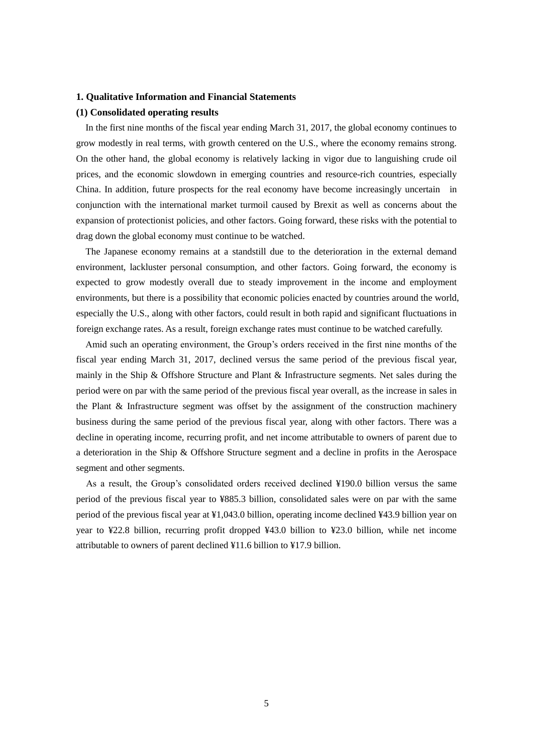#### **1. Qualitative Information and Financial Statements**

## **(1) Consolidated operating results**

In the first nine months of the fiscal year ending March 31, 2017, the global economy continues to grow modestly in real terms, with growth centered on the U.S., where the economy remains strong. On the other hand, the global economy is relatively lacking in vigor due to languishing crude oil prices, and the economic slowdown in emerging countries and resource-rich countries, especially China. In addition, future prospects for the real economy have become increasingly uncertain in conjunction with the international market turmoil caused by Brexit as well as concerns about the expansion of protectionist policies, and other factors. Going forward, these risks with the potential to drag down the global economy must continue to be watched.

The Japanese economy remains at a standstill due to the deterioration in the external demand environment, lackluster personal consumption, and other factors. Going forward, the economy is expected to grow modestly overall due to steady improvement in the income and employment environments, but there is a possibility that economic policies enacted by countries around the world, especially the U.S., along with other factors, could result in both rapid and significant fluctuations in foreign exchange rates. As a result, foreign exchange rates must continue to be watched carefully.

 Amid such an operating environment, the Group's orders received in the first nine months of the fiscal year ending March 31, 2017, declined versus the same period of the previous fiscal year, mainly in the Ship & Offshore Structure and Plant & Infrastructure segments. Net sales during the period were on par with the same period of the previous fiscal year overall, as the increase in sales in the Plant & Infrastructure segment was offset by the assignment of the construction machinery business during the same period of the previous fiscal year, along with other factors. There was a decline in operating income, recurring profit, and net income attributable to owners of parent due to a deterioration in the Ship & Offshore Structure segment and a decline in profits in the Aerospace segment and other segments.

As a result, the Group's consolidated orders received declined ¥190.0 billion versus the same period of the previous fiscal year to ¥885.3 billion, consolidated sales were on par with the same period of the previous fiscal year at ¥1,043.0 billion, operating income declined ¥43.9 billion year on year to ¥22.8 billion, recurring profit dropped ¥43.0 billion to ¥23.0 billion, while net income attributable to owners of parent declined ¥11.6 billion to ¥17.9 billion.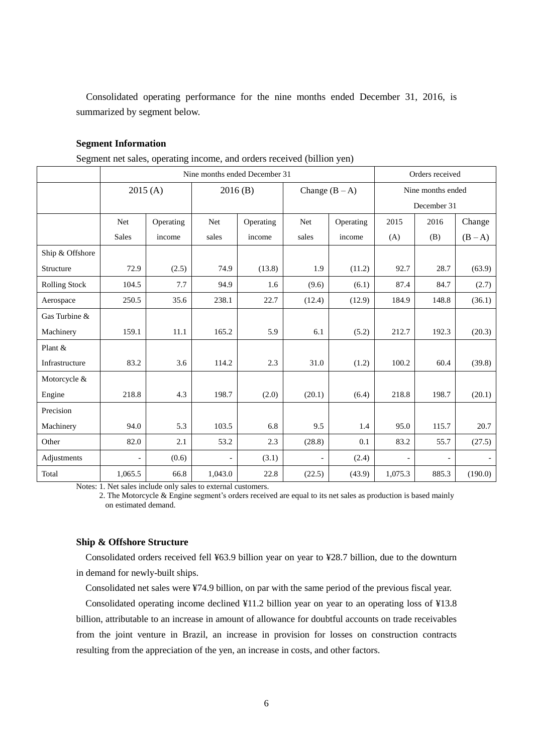Consolidated operating performance for the nine months ended December 31, 2016, is summarized by segment below.

# **Segment Information**

Segment net sales, operating income, and orders received (billion yen)

|                      | Nine months ended December 31 |           |         |           |                          |           |                   | Orders received |         |  |
|----------------------|-------------------------------|-----------|---------|-----------|--------------------------|-----------|-------------------|-----------------|---------|--|
|                      | 2015(A)                       |           | 2016(B) |           | Change $(B - A)$         |           | Nine months ended |                 |         |  |
|                      |                               |           |         |           |                          |           |                   | December 31     |         |  |
|                      | Net                           | Operating | Net     | Operating | Net                      | Operating | 2015              | 2016            | Change  |  |
|                      | <b>Sales</b>                  | income    | sales   | income    | sales                    | income    | (A)               | (B)             | $(B-A)$ |  |
| Ship & Offshore      |                               |           |         |           |                          |           |                   |                 |         |  |
| Structure            | 72.9                          | (2.5)     | 74.9    | (13.8)    | 1.9                      | (11.2)    | 92.7              | 28.7            | (63.9)  |  |
| <b>Rolling Stock</b> | 104.5                         | 7.7       | 94.9    | 1.6       | (9.6)                    | (6.1)     | 87.4              | 84.7            | (2.7)   |  |
| Aerospace            | 250.5                         | 35.6      | 238.1   | 22.7      | (12.4)                   | (12.9)    | 184.9             | 148.8           | (36.1)  |  |
| Gas Turbine &        |                               |           |         |           |                          |           |                   |                 |         |  |
| Machinery            | 159.1                         | 11.1      | 165.2   | 5.9       | 6.1                      | (5.2)     | 212.7             | 192.3           | (20.3)  |  |
| Plant &              |                               |           |         |           |                          |           |                   |                 |         |  |
| Infrastructure       | 83.2                          | 3.6       | 114.2   | 2.3       | 31.0                     | (1.2)     | 100.2             | 60.4            | (39.8)  |  |
| Motorcycle &         |                               |           |         |           |                          |           |                   |                 |         |  |
| Engine               | 218.8                         | 4.3       | 198.7   | (2.0)     | (20.1)                   | (6.4)     | 218.8             | 198.7           | (20.1)  |  |
| Precision            |                               |           |         |           |                          |           |                   |                 |         |  |
| Machinery            | 94.0                          | 5.3       | 103.5   | 6.8       | 9.5                      | 1.4       | 95.0              | 115.7           | 20.7    |  |
| Other                | 82.0                          | 2.1       | 53.2    | 2.3       | (28.8)                   | 0.1       | 83.2              | 55.7            | (27.5)  |  |
| Adjustments          | $\overline{\phantom{a}}$      | (0.6)     |         | (3.1)     | $\overline{\phantom{a}}$ | (2.4)     | $\qquad \qquad -$ |                 |         |  |
| Total                | 1,065.5                       | 66.8      | 1,043.0 | 22.8      | (22.5)                   | (43.9)    | 1,075.3           | 885.3           | (190.0) |  |

Notes: 1. Net sales include only sales to external customers.

2. The Motorcycle & Engine segment's orders received are equal to its net sales as production is based mainly on estimated demand.

## **Ship & Offshore Structure**

 Consolidated orders received fell ¥63.9 billion year on year to ¥28.7 billion, due to the downturn in demand for newly-built ships.

Consolidated net sales were ¥74.9 billion, on par with the same period of the previous fiscal year.

 Consolidated operating income declined ¥11.2 billion year on year to an operating loss of ¥13.8 billion, attributable to an increase in amount of allowance for doubtful accounts on trade receivables from the joint venture in Brazil, an increase in provision for losses on construction contracts resulting from the appreciation of the yen, an increase in costs, and other factors.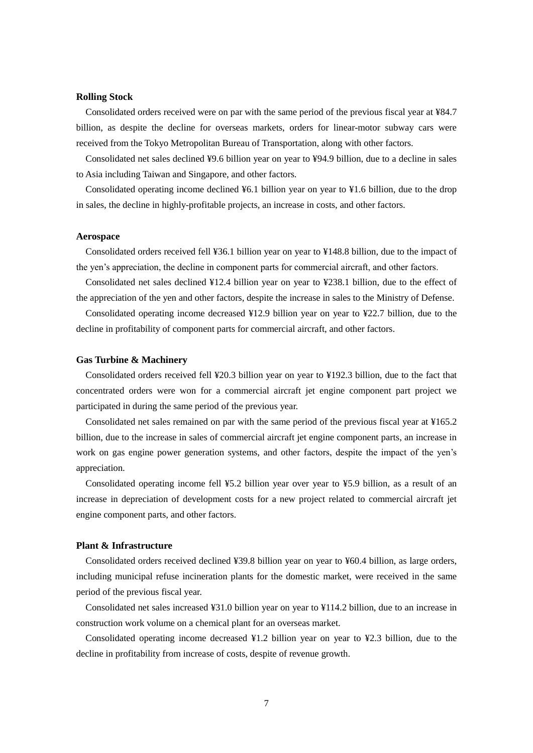## **Rolling Stock**

Consolidated orders received were on par with the same period of the previous fiscal year at ¥84.7 billion, as despite the decline for overseas markets, orders for linear-motor subway cars were received from the Tokyo Metropolitan Bureau of Transportation, along with other factors.

Consolidated net sales declined ¥9.6 billion year on year to ¥94.9 billion, due to a decline in sales to Asia including Taiwan and Singapore, and other factors.

Consolidated operating income declined ¥6.1 billion year on year to ¥1.6 billion, due to the drop in sales, the decline in highly-profitable projects, an increase in costs, and other factors.

#### **Aerospace**

Consolidated orders received fell ¥36.1 billion year on year to ¥148.8 billion, due to the impact of the yen's appreciation, the decline in component parts for commercial aircraft, and other factors.

Consolidated net sales declined ¥12.4 billion year on year to ¥238.1 billion, due to the effect of the appreciation of the yen and other factors, despite the increase in sales to the Ministry of Defense.

 Consolidated operating income decreased ¥12.9 billion year on year to ¥22.7 billion, due to the decline in profitability of component parts for commercial aircraft, and other factors.

## **Gas Turbine & Machinery**

Consolidated orders received fell ¥20.3 billion year on year to ¥192.3 billion, due to the fact that concentrated orders were won for a commercial aircraft jet engine component part project we participated in during the same period of the previous year.

Consolidated net sales remained on par with the same period of the previous fiscal year at ¥165.2 billion, due to the increase in sales of commercial aircraft jet engine component parts, an increase in work on gas engine power generation systems, and other factors, despite the impact of the yen's appreciation.

 Consolidated operating income fell ¥5.2 billion year over year to ¥5.9 billion, as a result of an increase in depreciation of development costs for a new project related to commercial aircraft jet engine component parts, and other factors.

# **Plant & Infrastructure**

Consolidated orders received declined ¥39.8 billion year on year to ¥60.4 billion, as large orders, including municipal refuse incineration plants for the domestic market, were received in the same period of the previous fiscal year.

Consolidated net sales increased ¥31.0 billion year on year to ¥114.2 billion, due to an increase in construction work volume on a chemical plant for an overseas market.

Consolidated operating income decreased ¥1.2 billion year on year to ¥2.3 billion, due to the decline in profitability from increase of costs, despite of revenue growth.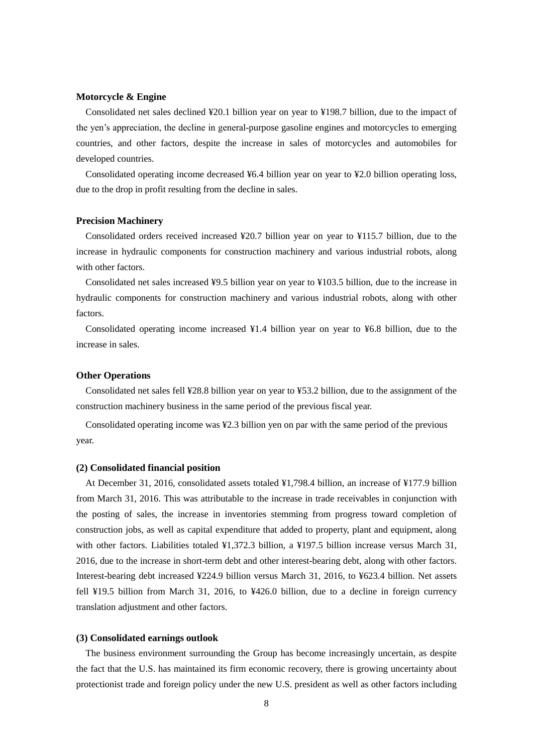# **Motorcycle & Engine**

Consolidated net sales declined ¥20.1 billion year on year to ¥198.7 billion, due to the impact of the yen's appreciation, the decline in general-purpose gasoline engines and motorcycles to emerging countries, and other factors, despite the increase in sales of motorcycles and automobiles for developed countries.

 Consolidated operating income decreased ¥6.4 billion year on year to ¥2.0 billion operating loss, due to the drop in profit resulting from the decline in sales.

#### **Precision Machinery**

Consolidated orders received increased ¥20.7 billion year on year to ¥115.7 billion, due to the increase in hydraulic components for construction machinery and various industrial robots, along with other factors.

Consolidated net sales increased ¥9.5 billion year on year to ¥103.5 billion, due to the increase in hydraulic components for construction machinery and various industrial robots, along with other factors.

Consolidated operating income increased ¥1.4 billion year on year to ¥6.8 billion, due to the increase in sales.

## **Other Operations**

Consolidated net sales fell ¥28.8 billion year on year to ¥53.2 billion, due to the assignment of the construction machinery business in the same period of the previous fiscal year.

Consolidated operating income was ¥2.3 billion yen on par with the same period of the previous year.

## **(2) Consolidated financial position**

 At December 31, 2016, consolidated assets totaled ¥1,798.4 billion, an increase of ¥177.9 billion from March 31, 2016. This was attributable to the increase in trade receivables in conjunction with the posting of sales, the increase in inventories stemming from progress toward completion of construction jobs, as well as capital expenditure that added to property, plant and equipment, along with other factors. Liabilities totaled ¥1,372.3 billion, a ¥197.5 billion increase versus March 31, 2016, due to the increase in short-term debt and other interest-bearing debt, along with other factors. Interest-bearing debt increased ¥224.9 billion versus March 31, 2016, to ¥623.4 billion. Net assets fell ¥19.5 billion from March 31, 2016, to ¥426.0 billion, due to a decline in foreign currency translation adjustment and other factors.

#### **(3) Consolidated earnings outlook**

 The business environment surrounding the Group has become increasingly uncertain, as despite the fact that the U.S. has maintained its firm economic recovery, there is growing uncertainty about protectionist trade and foreign policy under the new U.S. president as well as other factors including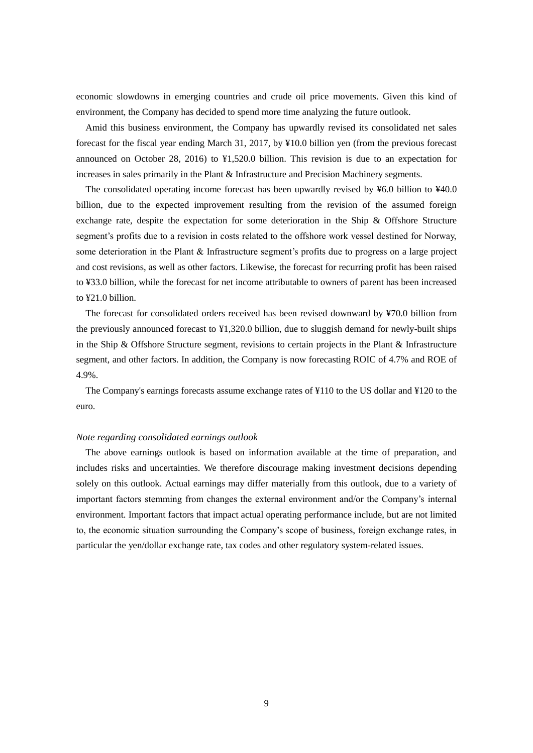economic slowdowns in emerging countries and crude oil price movements. Given this kind of environment, the Company has decided to spend more time analyzing the future outlook.

 Amid this business environment, the Company has upwardly revised its consolidated net sales forecast for the fiscal year ending March 31, 2017, by ¥10.0 billion yen (from the previous forecast announced on October 28, 2016) to ¥1,520.0 billion. This revision is due to an expectation for increases in sales primarily in the Plant & Infrastructure and Precision Machinery segments.

The consolidated operating income forecast has been upwardly revised by ¥6.0 billion to ¥40.0 billion, due to the expected improvement resulting from the revision of the assumed foreign exchange rate, despite the expectation for some deterioration in the Ship & Offshore Structure segment's profits due to a revision in costs related to the offshore work vessel destined for Norway, some deterioration in the Plant & Infrastructure segment's profits due to progress on a large project and cost revisions, as well as other factors. Likewise, the forecast for recurring profit has been raised to ¥33.0 billion, while the forecast for net income attributable to owners of parent has been increased to ¥21.0 billion.

The forecast for consolidated orders received has been revised downward by ¥70.0 billion from the previously announced forecast to  $\frac{1}{2}1,320.0$  billion, due to sluggish demand for newly-built ships in the Ship & Offshore Structure segment, revisions to certain projects in the Plant & Infrastructure segment, and other factors. In addition, the Company is now forecasting ROIC of 4.7% and ROE of 4.9%.

 The Company's earnings forecasts assume exchange rates of ¥110 to the US dollar and ¥120 to the euro.

#### *Note regarding consolidated earnings outlook*

The above earnings outlook is based on information available at the time of preparation, and includes risks and uncertainties. We therefore discourage making investment decisions depending solely on this outlook. Actual earnings may differ materially from this outlook, due to a variety of important factors stemming from changes the external environment and/or the Company's internal environment. Important factors that impact actual operating performance include, but are not limited to, the economic situation surrounding the Company's scope of business, foreign exchange rates, in particular the yen/dollar exchange rate, tax codes and other regulatory system-related issues.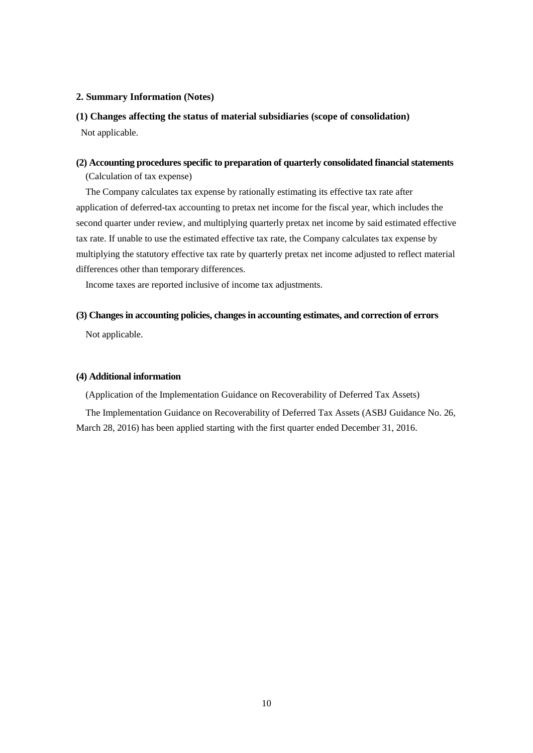## **2. Summary Information (Notes)**

# **(1) Changes affecting the status of material subsidiaries (scope of consolidation)**

Not applicable.

# **(2) Accounting procedures specific to preparation of quarterly consolidated financial statements**

(Calculation of tax expense)

 The Company calculates tax expense by rationally estimating its effective tax rate after application of deferred-tax accounting to pretax net income for the fiscal year, which includes the second quarter under review, and multiplying quarterly pretax net income by said estimated effective tax rate. If unable to use the estimated effective tax rate, the Company calculates tax expense by multiplying the statutory effective tax rate by quarterly pretax net income adjusted to reflect material differences other than temporary differences.

Income taxes are reported inclusive of income tax adjustments.

## **(3) Changes in accounting policies, changes in accounting estimates, and correction of errors**

Not applicable.

# **(4) Additional information**

(Application of the Implementation Guidance on Recoverability of Deferred Tax Assets)

The Implementation Guidance on Recoverability of Deferred Tax Assets (ASBJ Guidance No. 26, March 28, 2016) has been applied starting with the first quarter ended December 31, 2016.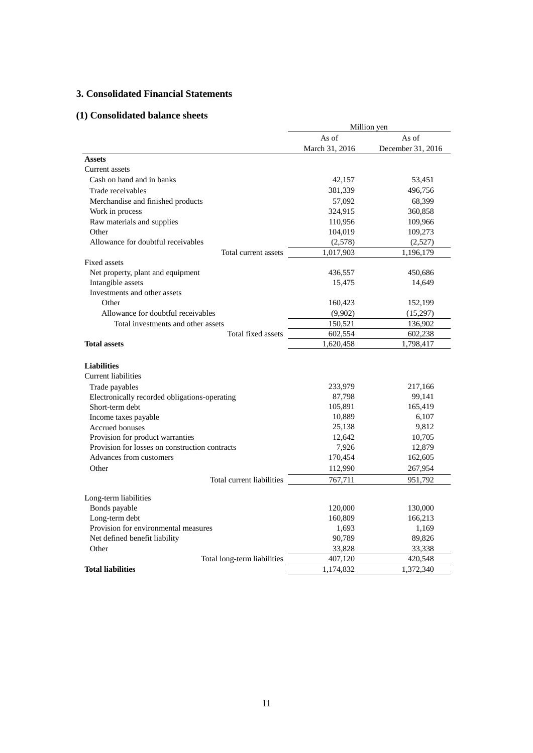# **3. Consolidated Financial Statements**

# **(1) Consolidated balance sheets**

|                                                | Million yen    |                   |  |  |
|------------------------------------------------|----------------|-------------------|--|--|
|                                                | As of          | As of             |  |  |
|                                                | March 31, 2016 | December 31, 2016 |  |  |
| <b>Assets</b>                                  |                |                   |  |  |
| Current assets                                 |                |                   |  |  |
| Cash on hand and in banks                      | 42,157         | 53,451            |  |  |
| Trade receivables                              | 381,339        | 496,756           |  |  |
| Merchandise and finished products              | 57,092         | 68,399            |  |  |
| Work in process                                | 324,915        | 360,858           |  |  |
| Raw materials and supplies                     | 110,956        | 109,966           |  |  |
| Other                                          | 104,019        | 109,273           |  |  |
| Allowance for doubtful receivables             | (2,578)        | (2,527)           |  |  |
| Total current assets                           | 1,017,903      | 1,196,179         |  |  |
| Fixed assets                                   |                |                   |  |  |
| Net property, plant and equipment              | 436,557        | 450,686           |  |  |
| Intangible assets                              | 15,475         | 14,649            |  |  |
| Investments and other assets                   |                |                   |  |  |
| Other                                          | 160,423        | 152,199           |  |  |
| Allowance for doubtful receivables             | (9,902)        | (15,297)          |  |  |
| Total investments and other assets             | 150,521        | 136,902           |  |  |
| Total fixed assets                             | 602,554        | 602,238           |  |  |
| <b>Total assets</b>                            | 1,620,458      | 1,798,417         |  |  |
|                                                |                |                   |  |  |
| <b>Liabilities</b>                             |                |                   |  |  |
| <b>Current liabilities</b>                     |                |                   |  |  |
| Trade payables                                 | 233,979        | 217,166           |  |  |
| Electronically recorded obligations-operating  | 87,798         | 99,141            |  |  |
| Short-term debt                                | 105,891        | 165,419           |  |  |
| Income taxes payable                           | 10,889         | 6,107             |  |  |
| Accrued bonuses                                | 25,138         | 9,812             |  |  |
| Provision for product warranties               | 12,642         | 10,705            |  |  |
| Provision for losses on construction contracts | 7,926          | 12,879            |  |  |
| Advances from customers                        | 170,454        | 162,605           |  |  |
| Other                                          | 112,990        | 267,954           |  |  |
| Total current liabilities                      | 767,711        | 951,792           |  |  |
| Long-term liabilities                          |                |                   |  |  |
| Bonds payable                                  | 120,000        | 130,000           |  |  |
| Long-term debt                                 | 160,809        | 166,213           |  |  |
| Provision for environmental measures           | 1,693          | 1,169             |  |  |
| Net defined benefit liability                  | 90,789         | 89,826            |  |  |
| Other                                          | 33,828         | 33,338            |  |  |
| Total long-term liabilities                    | 407,120        | 420,548           |  |  |
| <b>Total liabilities</b>                       | 1,174,832      | 1,372,340         |  |  |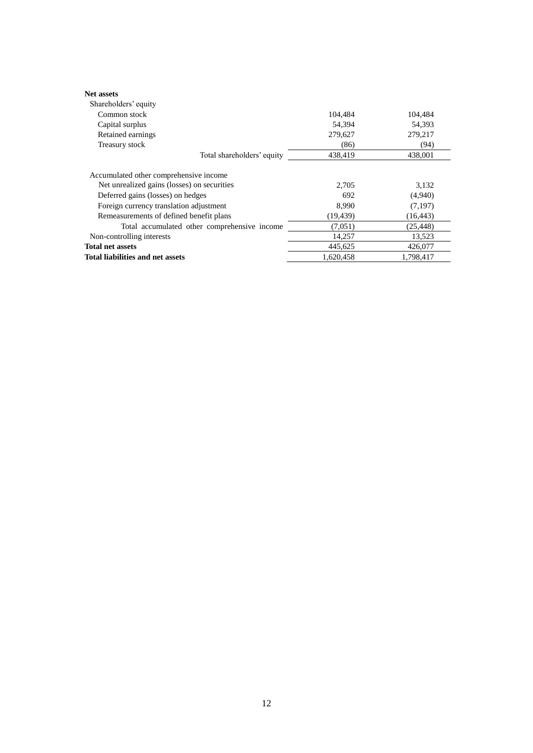| <b>Net assets</b>                            |           |           |
|----------------------------------------------|-----------|-----------|
| Shareholders' equity                         |           |           |
| Common stock                                 | 104.484   | 104.484   |
| Capital surplus                              | 54,394    | 54,393    |
| Retained earnings                            | 279,627   | 279,217   |
| Treasury stock                               | (86)      | (94)      |
| Total shareholders' equity                   | 438.419   | 438,001   |
| Accumulated other comprehensive income       |           |           |
| Net unrealized gains (losses) on securities  | 2,705     | 3,132     |
| Deferred gains (losses) on hedges            | 692       | (4,940)   |
| Foreign currency translation adjustment      | 8.990     | (7,197)   |
| Remeasurements of defined benefit plans      | (19, 439) | (16, 443) |
| Total accumulated other comprehensive income | (7,051)   | (25, 448) |
| Non-controlling interests                    | 14,257    | 13,523    |
| <b>Total net assets</b>                      | 445,625   | 426,077   |
| Total liabilities and net assets             | 1,620,458 | 1,798,417 |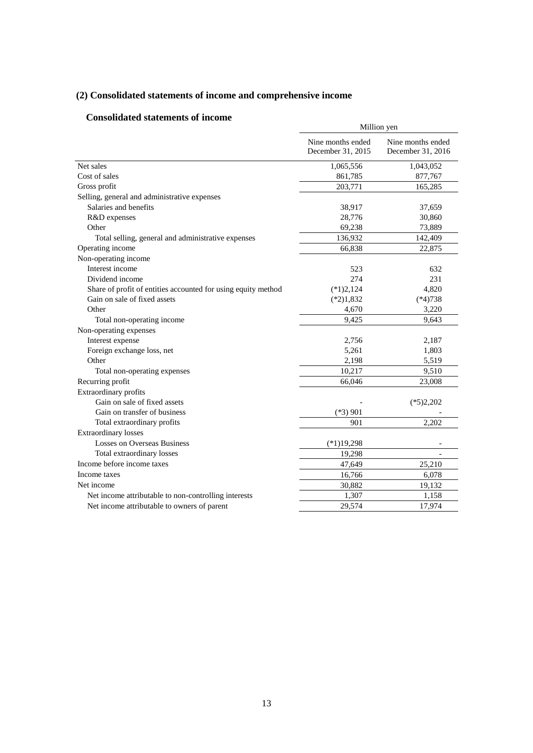# **(2) Consolidated statements of income and comprehensive income**

# **Consolidated statements of income**

|                                                               | Million yen                            |                                        |  |
|---------------------------------------------------------------|----------------------------------------|----------------------------------------|--|
|                                                               | Nine months ended<br>December 31, 2015 | Nine months ended<br>December 31, 2016 |  |
| Net sales                                                     | 1,065,556                              | 1,043,052                              |  |
| Cost of sales                                                 | 861,785                                | 877,767                                |  |
| Gross profit                                                  | 203,771                                | 165,285                                |  |
| Selling, general and administrative expenses                  |                                        |                                        |  |
| Salaries and benefits                                         | 38,917                                 | 37,659                                 |  |
| R&D expenses                                                  | 28,776                                 | 30,860                                 |  |
| Other                                                         | 69,238                                 | 73,889                                 |  |
| Total selling, general and administrative expenses            | 136,932                                | 142,409                                |  |
| Operating income                                              | 66,838                                 | 22,875                                 |  |
| Non-operating income                                          |                                        |                                        |  |
| Interest income                                               | 523                                    | 632                                    |  |
| Dividend income                                               | 274                                    | 231                                    |  |
| Share of profit of entities accounted for using equity method | $(*1)2,124$                            | 4,820                                  |  |
| Gain on sale of fixed assets                                  | $(*2)1,832$                            | $(*4)738$                              |  |
| Other                                                         | 4,670                                  | 3,220                                  |  |
| Total non-operating income                                    | 9,425                                  | 9,643                                  |  |
| Non-operating expenses                                        |                                        |                                        |  |
| Interest expense                                              | 2,756                                  | 2,187                                  |  |
| Foreign exchange loss, net                                    | 5,261                                  | 1,803                                  |  |
| Other                                                         | 2,198                                  | 5,519                                  |  |
| Total non-operating expenses                                  | 10,217                                 | 9,510                                  |  |
| Recurring profit                                              | 66,046                                 | 23,008                                 |  |
| Extraordinary profits                                         |                                        |                                        |  |
| Gain on sale of fixed assets                                  |                                        | $(*5)2,202$                            |  |
| Gain on transfer of business                                  | $(*3)$ 901                             |                                        |  |
| Total extraordinary profits                                   | 901                                    | 2,202                                  |  |
| <b>Extraordinary losses</b>                                   |                                        |                                        |  |
| <b>Losses on Overseas Business</b>                            | $(*1)19,298$                           |                                        |  |
| Total extraordinary losses                                    | 19,298                                 |                                        |  |
| Income before income taxes                                    | 47,649                                 | 25,210                                 |  |
| Income taxes                                                  | 16,766                                 | 6,078                                  |  |
| Net income                                                    | 30,882                                 | 19,132                                 |  |
| Net income attributable to non-controlling interests          | 1,307                                  | 1,158                                  |  |
| Net income attributable to owners of parent                   | 29,574                                 | 17,974                                 |  |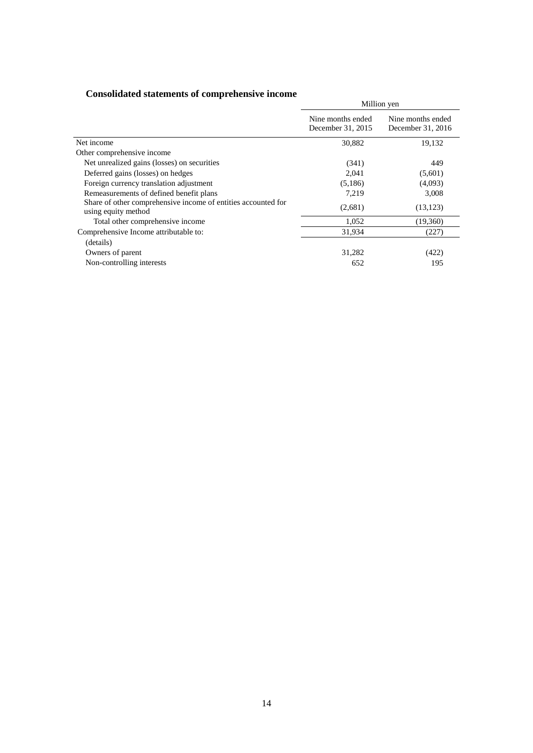| <b>Consolidated statements of comprehensive income</b> |  |  |  |
|--------------------------------------------------------|--|--|--|
|--------------------------------------------------------|--|--|--|

| сопоснание эниститы от сотретствен с теопис                                          |                                        | Million yen                            |
|--------------------------------------------------------------------------------------|----------------------------------------|----------------------------------------|
|                                                                                      | Nine months ended<br>December 31, 2015 | Nine months ended<br>December 31, 2016 |
| Net income                                                                           | 30,882                                 | 19,132                                 |
| Other comprehensive income                                                           |                                        |                                        |
| Net unrealized gains (losses) on securities                                          | (341)                                  | 449                                    |
| Deferred gains (losses) on hedges                                                    | 2,041                                  | (5,601)                                |
| Foreign currency translation adjustment                                              | (5,186)                                | (4,093)                                |
| Remeasurements of defined benefit plans                                              | 7,219                                  | 3,008                                  |
| Share of other comprehensive income of entities accounted for<br>using equity method | (2,681)                                | (13, 123)                              |
| Total other comprehensive income                                                     | 1,052                                  | (19,360)                               |
| Comprehensive Income attributable to:                                                | 31,934                                 | (227)                                  |
| (details)                                                                            |                                        |                                        |
| Owners of parent                                                                     | 31,282                                 | (422)                                  |
| Non-controlling interests                                                            | 652                                    | 195                                    |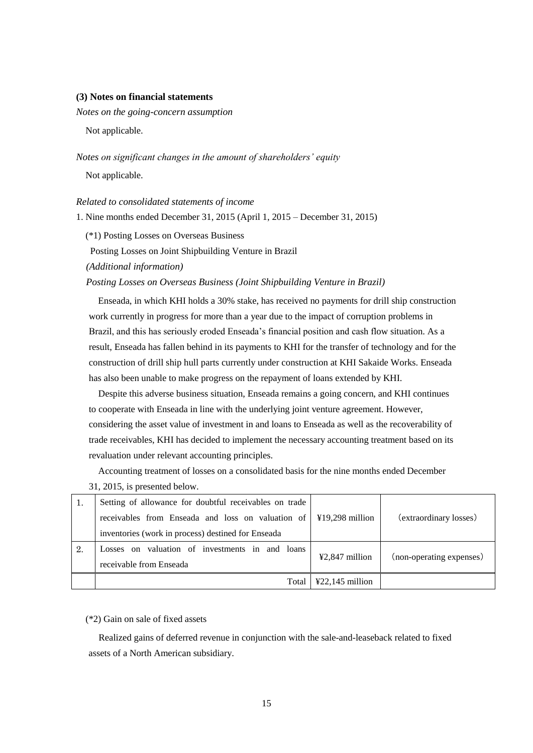### **(3) Notes on financial statements**

*Notes on the going-concern assumption* 

Not applicable.

*Notes on significant changes in the amount of shareholders' equity* Not applicable.

*Related to consolidated statements of income*

1. Nine months ended December 31, 2015 (April 1, 2015 – December 31, 2015)

(\*1) Posting Losses on Overseas Business

Posting Losses on Joint Shipbuilding Venture in Brazil

*(Additional information)*

 *Posting Losses on Overseas Business (Joint Shipbuilding Venture in Brazil)*

Enseada, in which KHI holds a 30% stake, has received no payments for drill ship construction work currently in progress for more than a year due to the impact of corruption problems in Brazil, and this has seriously eroded Enseada's financial position and cash flow situation. As a result, Enseada has fallen behind in its payments to KHI for the transfer of technology and for the construction of drill ship hull parts currently under construction at KHI Sakaide Works. Enseada has also been unable to make progress on the repayment of loans extended by KHI.

 Despite this adverse business situation, Enseada remains a going concern, and KHI continues to cooperate with Enseada in line with the underlying joint venture agreement. However, considering the asset value of investment in and loans to Enseada as well as the recoverability of trade receivables, KHI has decided to implement the necessary accounting treatment based on its revaluation under relevant accounting principles.

 Accounting treatment of losses on a consolidated basis for the nine months ended December 31, 2015, is presented below.

|    | Setting of allowance for doubtful receivables on trade |                                      |                          |
|----|--------------------------------------------------------|--------------------------------------|--------------------------|
|    | receivables from Enseada and loss on valuation of      | $419,298$ million                    | (extraordinary losses)   |
|    | inventories (work in process) destined for Enseada     |                                      |                          |
| 2. | Losses on valuation of investments in and loans        | $42,847$ million                     | (non-operating expenses) |
|    | receivable from Enseada                                |                                      |                          |
|    | Total                                                  | $\text{\textsterling}22,145$ million |                          |

(\*2) Gain on sale of fixed assets

Realized gains of deferred revenue in conjunction with the sale-and-leaseback related to fixed assets of a North American subsidiary.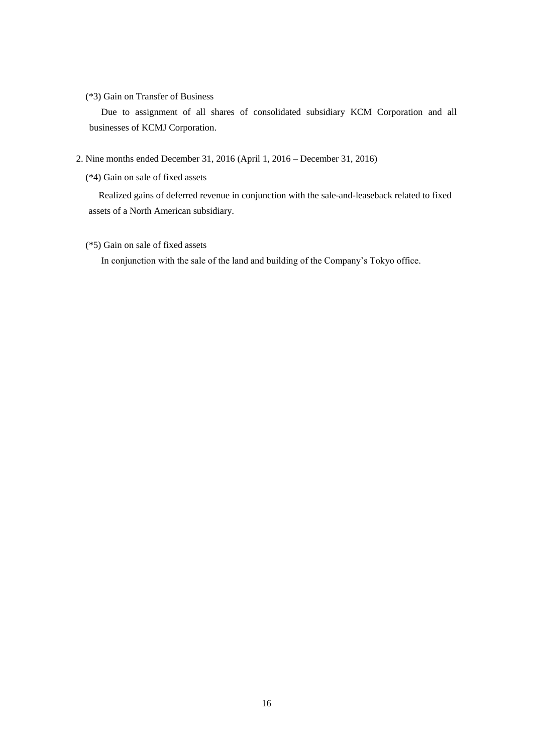# (\*3) Gain on Transfer of Business

Due to assignment of all shares of consolidated subsidiary KCM Corporation and all businesses of KCMJ Corporation.

- 2. Nine months ended December 31, 2016 (April 1, 2016 December 31, 2016)
	- (\*4) Gain on sale of fixed assets

Realized gains of deferred revenue in conjunction with the sale-and-leaseback related to fixed assets of a North American subsidiary.

# (\*5) Gain on sale of fixed assets

In conjunction with the sale of the land and building of the Company's Tokyo office.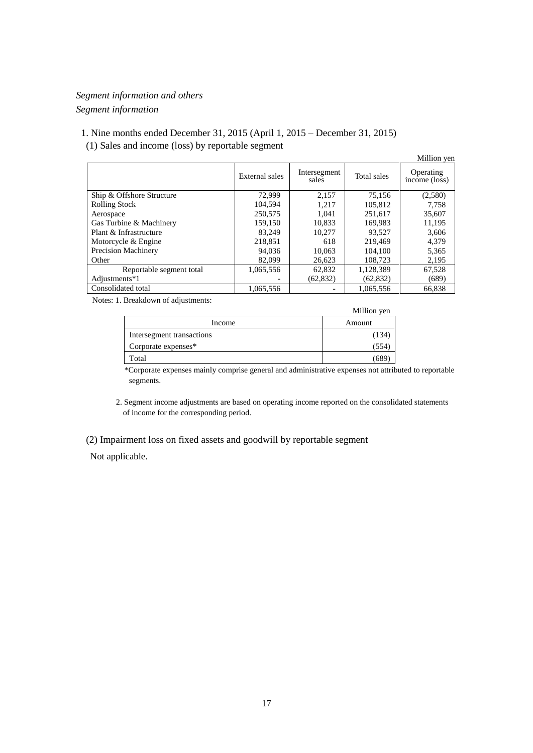# *Segment information and others Segment information*

1. Nine months ended December 31, 2015 (April 1, 2015 – December 31, 2015) (1) Sales and income (loss) by reportable segment

|                           |                |                       |             | Million yen                |
|---------------------------|----------------|-----------------------|-------------|----------------------------|
|                           | External sales | Intersegment<br>sales | Total sales | Operating<br>income (loss) |
| Ship & Offshore Structure | 72,999         | 2,157                 | 75,156      | (2,580)                    |
| <b>Rolling Stock</b>      | 104.594        | 1.217                 | 105.812     | 7,758                      |
| Aerospace                 | 250,575        | 1,041                 | 251,617     | 35,607                     |
| Gas Turbine & Machinery   | 159,150        | 10,833                | 169.983     | 11,195                     |
| Plant & Infrastructure    | 83.249         | 10,277                | 93,527      | 3,606                      |
| Motorcycle & Engine       | 218.851        | 618                   | 219.469     | 4,379                      |
| Precision Machinery       | 94,036         | 10,063                | 104.100     | 5,365                      |
| Other                     | 82,099         | 26,623                | 108,723     | 2,195                      |
| Reportable segment total  | 1,065,556      | 62,832                | 1,128,389   | 67,528                     |
| Adjustments*1             |                | (62, 832)             | (62, 832)   | (689)                      |
| Consolidated total        | 1,065,556      |                       | 1,065,556   | 66.838                     |

Notes: 1. Breakdown of adjustments:

|                           | Million yen |
|---------------------------|-------------|
| Income                    | Amount      |
| Intersegment transactions | (134        |
| Corporate expenses*       | 354         |
| Total                     | 68          |

\*Corporate expenses mainly comprise general and administrative expenses not attributed to reportable segments.

2. Segment income adjustments are based on operating income reported on the consolidated statements of income for the corresponding period.

# (2) Impairment loss on fixed assets and goodwill by reportable segment

Not applicable.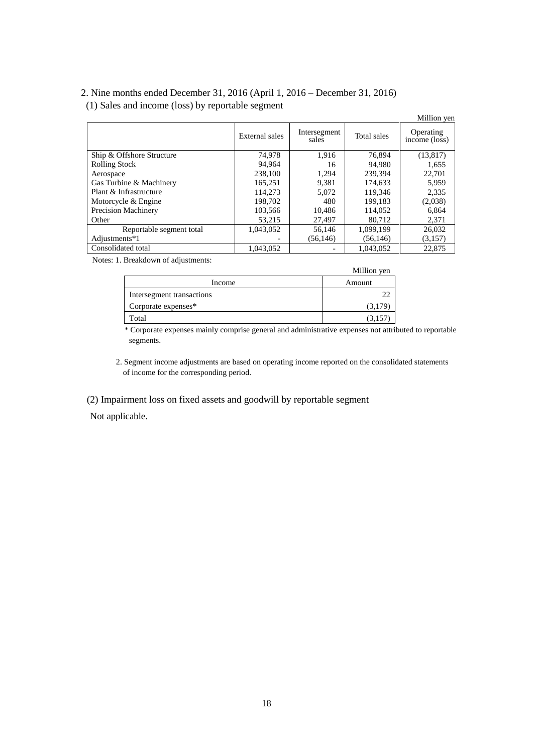# 2. Nine months ended December 31, 2016 (April 1, 2016 – December 31, 2016) (1) Sales and income (loss) by reportable segment

|                            |                |                       |             | Million yen                      |
|----------------------------|----------------|-----------------------|-------------|----------------------------------|
|                            | External sales | Intersegment<br>sales | Total sales | Operating<br>$income$ ( $loss$ ) |
| Ship & Offshore Structure  | 74,978         | 1,916                 | 76,894      | (13, 817)                        |
| <b>Rolling Stock</b>       | 94.964         | 16                    | 94.980      | 1,655                            |
| Aerospace                  | 238,100        | 1,294                 | 239.394     | 22,701                           |
| Gas Turbine & Machinery    | 165.251        | 9,381                 | 174,633     | 5.959                            |
| Plant & Infrastructure     | 114,273        | 5,072                 | 119,346     | 2,335                            |
| Motorcycle & Engine        | 198.702        | 480                   | 199.183     | (2,038)                          |
| <b>Precision Machinery</b> | 103,566        | 10,486                | 114,052     | 6,864                            |
| Other                      | 53.215         | 27,497                | 80,712      | 2,371                            |
| Reportable segment total   | 1,043,052      | 56.146                | 1,099,199   | 26,032                           |
| Adjustments*1              |                | (56, 146)             | (56, 146)   | (3,157)                          |
| Consolidated total         | 1,043,052      |                       | 1,043,052   | 22,875                           |

Notes: 1. Breakdown of adjustments:

|                           | Million yen |
|---------------------------|-------------|
| Income                    | Amount      |
| Intersegment transactions |             |
| Corporate expenses*       | (3,179)     |
| Total                     | (3,157)     |

\* Corporate expenses mainly comprise general and administrative expenses not attributed to reportable segments.

2. Segment income adjustments are based on operating income reported on the consolidated statements of income for the corresponding period.

(2) Impairment loss on fixed assets and goodwill by reportable segment

Not applicable.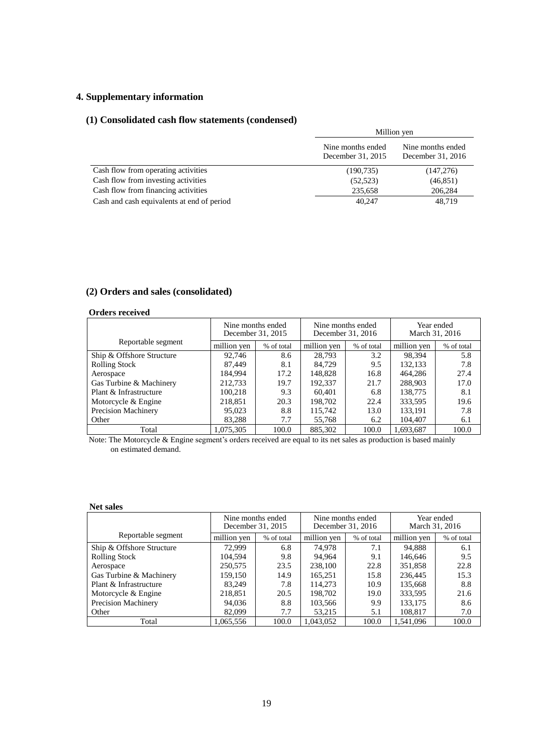# **4. Supplementary information**

# **(1) Consolidated cash flow statements (condensed)**

|                                            | Million yen                            |                                        |  |
|--------------------------------------------|----------------------------------------|----------------------------------------|--|
|                                            | Nine months ended<br>December 31, 2015 | Nine months ended<br>December 31, 2016 |  |
| Cash flow from operating activities        | (190, 735)                             | (147,276)                              |  |
| Cash flow from investing activities        | (52, 523)                              | (46, 851)                              |  |
| Cash flow from financing activities        | 235,658                                | 206,284                                |  |
| Cash and cash equivalents at end of period | 40.247                                 | 48.719                                 |  |

# **(2) Orders and sales (consolidated)**

## **Orders received**

|                           | Nine months ended<br>Nine months ended<br>December 31, 2015<br>December 31, 2016 |            | Year ended<br>March 31, 2016 |            |             |            |
|---------------------------|----------------------------------------------------------------------------------|------------|------------------------------|------------|-------------|------------|
| Reportable segment        | million yen                                                                      | % of total | million yen                  | % of total | million yen | % of total |
| Ship & Offshore Structure | 92.746                                                                           | 8.6        | 28.793                       | 3.2        | 98.394      | 5.8        |
| <b>Rolling Stock</b>      | 87,449                                                                           | 8.1        | 84.729                       | 9.5        | 132,133     | 7.8        |
| Aerospace                 | 184.994                                                                          | 17.2       | 148,828                      | 16.8       | 464,286     | 27.4       |
| Gas Turbine & Machinery   | 212.733                                                                          | 19.7       | 192,337                      | 21.7       | 288,903     | 17.0       |
| Plant & Infrastructure    | 100,218                                                                          | 9.3        | 60.401                       | 6.8        | 138,775     | 8.1        |
| Motorcycle & Engine       | 218,851                                                                          | 20.3       | 198,702                      | 22.4       | 333,595     | 19.6       |
| Precision Machinery       | 95,023                                                                           | 8.8        | 115,742                      | 13.0       | 133,191     | 7.8        |
| Other                     | 83,288                                                                           | 7.7        | 55,768                       | 6.2        | 104,407     | 6.1        |
| Total                     | 1,075,305                                                                        | 100.0      | 885,302                      | 100.0      | 1,693,687   | 100.0      |

Note: The Motorcycle & Engine segment's orders received are equal to its net sales as production is based mainly on estimated demand.

## **Net sales**

|                            | Nine months ended<br>December 31, 2015 |            | Nine months ended<br>December 31, 2016 |            | Year ended<br>March 31, 2016 |            |
|----------------------------|----------------------------------------|------------|----------------------------------------|------------|------------------------------|------------|
| Reportable segment         | million yen                            | % of total | million yen                            | % of total | million yen                  | % of total |
| Ship & Offshore Structure  | 72.999                                 | 6.8        | 74.978                                 | 7.1        | 94.888                       | 6.1        |
| <b>Rolling Stock</b>       | 104.594                                | 9.8        | 94.964                                 | 9.1        | 146,646                      | 9.5        |
| Aerospace                  | 250,575                                | 23.5       | 238,100                                | 22.8       | 351,858                      | 22.8       |
| Gas Turbine & Machinery    | 159,150                                | 14.9       | 165,251                                | 15.8       | 236,445                      | 15.3       |
| Plant & Infrastructure     | 83,249                                 | 7.8        | 114,273                                | 10.9       | 135,668                      | 8.8        |
| Motorcycle & Engine        | 218,851                                | 20.5       | 198.702                                | 19.0       | 333,595                      | 21.6       |
| <b>Precision Machinery</b> | 94,036                                 | 8.8        | 103,566                                | 9.9        | 133,175                      | 8.6        |
| Other                      | 82,099                                 | 7.7        | 53,215                                 | 5.1        | 108.817                      | 7.0        |
| Total                      | 1,065,556                              | 100.0      | 1,043,052                              | 100.0      | 1.541.096                    | 100.0      |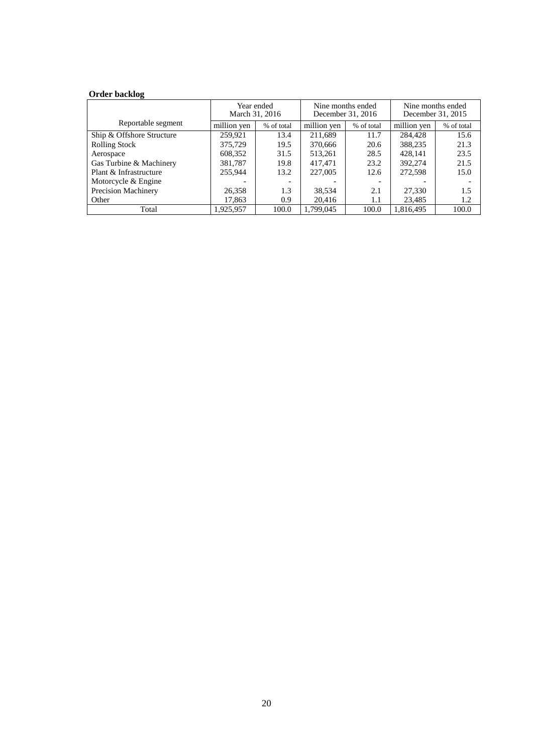# **Order backlog**

|                            | Year ended<br>March 31, 2016 |            | Nine months ended<br>December 31, 2016 |            | Nine months ended<br>December 31, 2015 |            |
|----------------------------|------------------------------|------------|----------------------------------------|------------|----------------------------------------|------------|
| Reportable segment         | million ven                  | % of total | million yen                            | % of total | million yen                            | % of total |
| Ship & Offshore Structure  | 259,921                      | 13.4       | 211,689                                | 11.7       | 284,428                                | 15.6       |
| <b>Rolling Stock</b>       | 375,729                      | 19.5       | 370,666                                | 20.6       | 388,235                                | 21.3       |
| Aerospace                  | 608,352                      | 31.5       | 513,261                                | 28.5       | 428.141                                | 23.5       |
| Gas Turbine & Machinery    | 381,787                      | 19.8       | 417,471                                | 23.2       | 392,274                                | 21.5       |
| Plant & Infrastructure     | 255,944                      | 13.2       | 227,005                                | 12.6       | 272,598                                | 15.0       |
| Motorcycle & Engine        |                              |            |                                        |            |                                        |            |
| <b>Precision Machinery</b> | 26,358                       | 1.3        | 38,534                                 | 2.1        | 27,330                                 | 1.5        |
| Other                      | 17,863                       | 0.9        | 20,416                                 | 1.1        | 23,485                                 | 1.2        |
| Total                      | 1,925,957                    | 100.0      | 1.799.045                              | 100.0      | 1.816.495                              | 100.0      |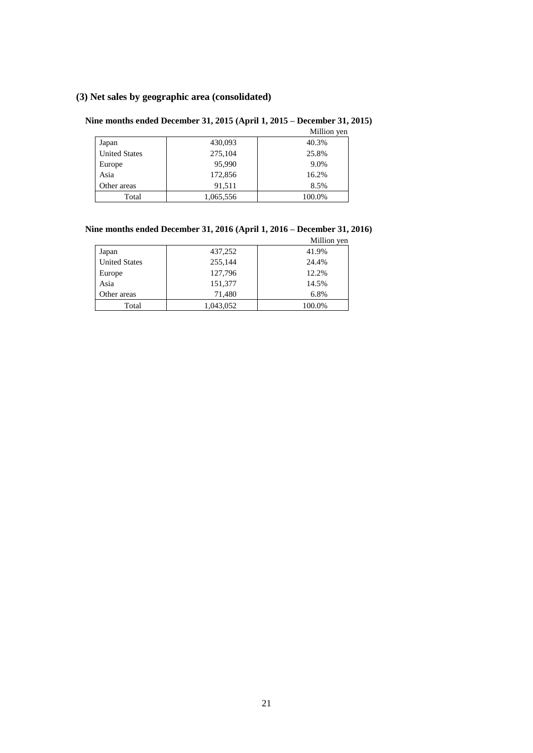# **(3) Net sales by geographic area (consolidated)**

# **Nine months ended December 31, 2015 (April 1, 2015 – December 31, 2015)**

|                      |           | Million yen |
|----------------------|-----------|-------------|
| Japan                | 430,093   | 40.3%       |
| <b>United States</b> | 275,104   | 25.8%       |
| Europe               | 95,990    | 9.0%        |
| Asia                 | 172,856   | 16.2%       |
| Other areas          | 91,511    | 8.5%        |
| Total                | 1,065,556 | 100.0%      |

# **Nine months ended December 31, 2016 (April 1, 2016 – December 31, 2016)**

|                      |           | Million yen |
|----------------------|-----------|-------------|
| Japan                | 437,252   | 41.9%       |
| <b>United States</b> | 255,144   | 24.4%       |
| Europe               | 127,796   | 12.2%       |
| Asia                 | 151,377   | 14.5%       |
| Other areas          | 71,480    | 6.8%        |
| Total                | 1,043,052 | 100.0%      |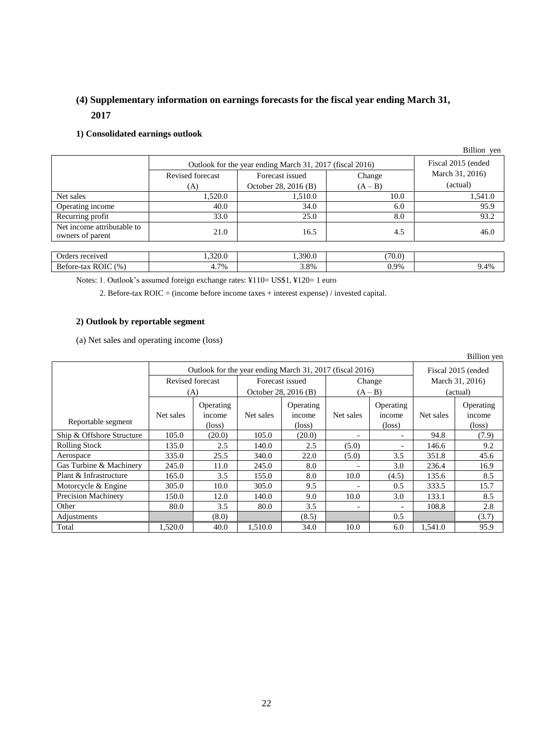# **(4) Supplementary information on earnings forecasts for the fiscal year ending March 31, 2017**

# **1) Consolidated earnings outlook**

|                                                |                                                          |                      |           | Billion yen     |
|------------------------------------------------|----------------------------------------------------------|----------------------|-----------|-----------------|
|                                                | Outlook for the year ending March 31, 2017 (fiscal 2016) | Fiscal 2015 (ended   |           |                 |
|                                                | Revised forecast                                         | Forecast issued      | Change    | March 31, 2016) |
|                                                | (A)                                                      | October 28, 2016 (B) | $(A - B)$ | (actual)        |
| Net sales                                      | 1,520.0                                                  | 1,510.0              | 10.0      | 1,541.0         |
| Operating income                               | 40.0                                                     | 34.0                 | 6.0       | 95.9            |
| Recurring profit                               | 33.0                                                     | 25.0                 | 8.0       | 93.2            |
| Net income attributable to<br>owners of parent | 21.0                                                     | 16.5                 | 4.5       | 46.0            |
|                                                |                                                          |                      |           |                 |
| Orders received                                | 1,320.0                                                  | 1,390.0              | (70.0)    |                 |
| Before-tax ROIC (%)                            | 4.7%                                                     | 3.8%                 | 0.9%      | 9.4%            |

Notes: 1. Outlook's assumed foreign exchange rates: ¥110= US\$1, ¥120= 1 euro

2. Before-tax ROIC = (income before income taxes + interest expense) / invested capital.

# **2) Outlook by reportable segment**

(a) Net sales and operating income (loss)

|                           |                  |                                                          |                      |                 |           |                          |                    | Billion yen     |
|---------------------------|------------------|----------------------------------------------------------|----------------------|-----------------|-----------|--------------------------|--------------------|-----------------|
|                           |                  | Outlook for the year ending March 31, 2017 (fiscal 2016) |                      |                 |           |                          | Fiscal 2015 (ended |                 |
|                           | Revised forecast |                                                          | Forecast issued      |                 | Change    |                          | March 31, 2016)    |                 |
|                           | (A)              |                                                          | October 28, 2016 (B) |                 | $(A - B)$ |                          | (actual)           |                 |
|                           |                  | Operating                                                |                      | Operating       |           | Operating                |                    | Operating       |
|                           | Net sales        | income                                                   | Net sales            | income          | Net sales | income                   | Net sales          | income          |
| Reportable segment        |                  | $(\text{loss})$                                          |                      | $(\text{loss})$ |           | $(\text{loss})$          |                    | $(\text{loss})$ |
| Ship & Offshore Structure | 105.0            | (20.0)                                                   | 105.0                | (20.0)          |           | $\overline{\phantom{a}}$ | 94.8               | (7.9)           |
| <b>Rolling Stock</b>      | 135.0            | 2.5                                                      | 140.0                | 2.5             | (5.0)     | $\overline{\phantom{a}}$ | 146.6              | 9.2             |
| Aerospace                 | 335.0            | 25.5                                                     | 340.0                | 22.0            | (5.0)     | 3.5                      | 351.8              | 45.6            |
| Gas Turbine & Machinery   | 245.0            | 11.0                                                     | 245.0                | 8.0             |           | 3.0                      | 236.4              | 16.9            |
| Plant & Infrastructure    | 165.0            | 3.5                                                      | 155.0                | 8.0             | 10.0      | (4.5)                    | 135.6              | 8.5             |
| Motorcycle & Engine       | 305.0            | 10.0                                                     | 305.0                | 9.5             |           | 0.5                      | 333.5              | 15.7            |
| Precision Machinery       | 150.0            | 12.0                                                     | 140.0                | 9.0             | 10.0      | 3.0                      | 133.1              | 8.5             |
| Other                     | 80.0             | 3.5                                                      | 80.0                 | 3.5             |           | $\overline{\phantom{a}}$ | 108.8              | 2.8             |
| Adjustments               |                  | (8.0)                                                    |                      | (8.5)           |           | 0.5                      |                    | (3.7)           |
| Total                     | 1,520.0          | 40.0                                                     | 1,510.0              | 34.0            | 10.0      | 6.0                      | 1,541.0            | 95.9            |